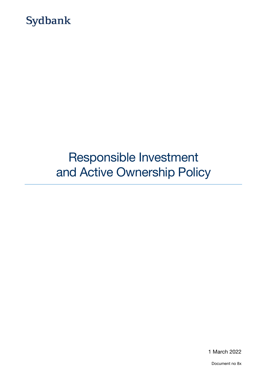

# Responsible Investment and Active Ownership Policy

1 March 2022

Document no 8x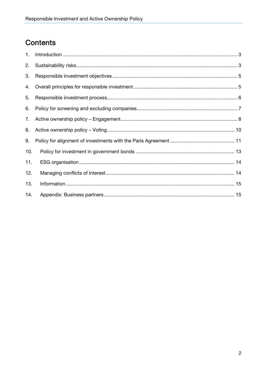## Contents

| 1.  |  |
|-----|--|
| 2.  |  |
| 3.  |  |
| 4.  |  |
| 5.  |  |
| 6.  |  |
| 7.  |  |
| 8.  |  |
| 9.  |  |
| 10. |  |
| 11. |  |
| 12. |  |
| 13. |  |
| 14. |  |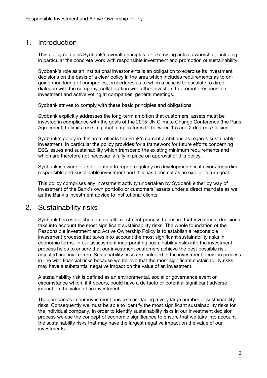### 1. Introduction

This policy contains Sydbank's overall principles for exercising active ownership, including in particular the concrete work with responsible investment and promotion of sustainability.

Sydbank's role as an institutional investor entails an obligation to exercise its investment decisions on the basis of a clear policy in the area which includes requirements as to ongoing monitoring of companies, procedures as to when a case is to escalate to direct dialogue with the company, collaboration with other investors to promote responsible investment and active voting at companies' general meetings.

Sydbank strives to comply with these basic principles and obligations.

Sydbank explicitly addresses the long-term ambition that customers' assets must be invested in compliance with the goals of the 2015 UN Climate Change Conference (the Paris Agreement) to limit a rise in global temperatures to between 1.5 and 2 degrees Celsius.

Sydbank's policy in this area reflects the Bank's current ambitions as regards sustainable investment. In particular the policy provides for a framework for future efforts concerning ESG issues and sustainability which transcend the existing minimum requirements and which are therefore not necessarily fully in place on approval of this policy.

Sydbank is aware of its obligation to report regularly on developments in its work regarding responsible and sustainable investment and this has been set as an explicit future goal.

This policy comprises any investment activity undertaken by Sydbank either by way of investment of the Bank's own portfolio or customers' assets under a direct mandate as well as the Bank's investment advice to institutional clients.

### 2. Sustainability risks

Sydbank has established an overall investment process to ensure that investment decisions take into account the most significant sustainability risks. The whole foundation of the Responsible Investment and Active Ownership Policy is to establish a responsible investment process that takes into account the most significant sustainability risks in economic terms. In our assessment incorporating sustainability risks into the investment process helps to ensure that our investment customers achieve the best possible riskadjusted financial return. Sustainability risks are included in the investment decision process in line with financial risks because we believe that the most significant sustainability risks may have a substantial negative impact on the value of an investment.

A sustainability risk is defined as an environmental, social or governance event or circumstance which, if it occurs, could have a de facto or potential significant adverse impact on the value of an investment.

The companies in our investment universe are facing a very large number of sustainability risks. Consequently we must be able to identify the most significant sustainability risks for the individual company. In order to identify sustainability risks in our investment decision process we use the concept of economic significance to ensure that we take into account the sustainability risks that may have the largest negative impact on the value of our investments.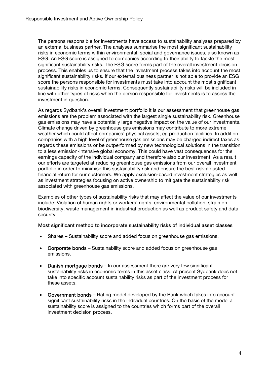The persons responsible for investments have access to sustainability analyses prepared by an external business partner. The analyses summarise the most significant sustainability risks in economic terms within environmental, social and governance issues, also known as ESG. An ESG score is assigned to companies according to their ability to tackle the most significant sustainability risks. The ESG score forms part of the overall investment decision process. This enables us to ensure that the investment process takes into account the most significant sustainability risks. If our external business partner is not able to provide an ESG score the persons responsible for investments must take into account the most significant sustainability risks in economic terms. Consequently sustainability risks will be included in line with other types of risks when the person responsible for investments is to assess the investment in question.

As regards Sydbank's overall investment portfolio it is our assessment that greenhouse gas emissions are the problem associated with the largest single sustainability risk. Greenhouse gas emissions may have a potentially large negative impact on the value of our investments. Climate change driven by greenhouse gas emissions may contribute to more extreme weather which could affect companies' physical assets, eg production facilities. In addition companies with a high level of greenhouse gas emissions may be charged indirect taxes as regards these emissions or be outperformed by new technological solutions in the transition to a less emission-intensive global economy. This could have vast consequences for the earnings capacity of the individual company and therefore also our investment. As a result our efforts are targeted at reducing greenhouse gas emissions from our overall investment portfolio in order to minimise this sustainability risk and ensure the best risk-adjusted financial return for our customers. We apply exclusion-based investment strategies as well as investment strategies focusing on active ownership to mitigate the sustainability risk associated with greenhouse gas emissions.

Examples of other types of sustainability risks that may affect the value of our investments include: Violation of human rights or workers' rights, environmental pollution, strain on biodiversity, waste management in industrial production as well as product safety and data security.

#### Most significant method to incorporate sustainability risks of individual asset classes

- Shares Sustainability score and added focus on greenhouse gas emissions.
- Corporate bonds Sustainability score and added focus on greenhouse gas emissions.
- Danish mortgage bonds In our assessment there are very few significant sustainability risks in economic terms in this asset class. At present Sydbank does not take into specific account sustainability risks as part of the investment process for these assets.
- Government bonds Rating model developed by the Bank which takes into account significant sustainability risks in the individual countries. On the basis of the model a sustainability score is assigned to the countries which forms part of the overall investment decision process.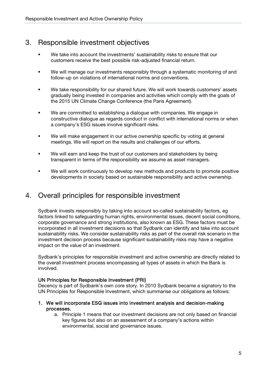### 3. Responsible investment objectives

- We take into account the investments' sustainability risks to ensure that our customers receive the best possible risk-adjusted financial return.
- We will manage our investments responsibly through a systematic monitoring of and follow-up on violations of international norms and conventions.
- We take responsibility for our shared future. We will work towards customers' assets gradually being invested in companies and activities which comply with the goals of the 2015 UN Climate Change Conference (the Paris Agreement).
- **We are committed to establishing a dialogue with companies. We engage in** constructive dialogue as regards conduct in conflict with international norms or when a company's ESG issues involve significant risks.
- We will make engagement in our active ownership specific by voting at general meetings. We will report on the results and challenges of our efforts.
- We will earn and keep the trust of our customers and stakeholders by being transparent in terms of the responsibility we assume as asset managers.
- We will work continuously to develop new methods and products to promote positive developments in society based on sustainable responsibility and active ownership.

### 4. Overall principles for responsible investment

Sydbank invests responsibly by taking into account so-called sustainability factors, eg factors linked to safeguarding human rights, environmental issues, decent social conditions, corporate governance and strong institutions, also known as ESG. These factors must be incorporated in all investment decisions so that Sydbank can identify and take into account sustainability risks. We consider sustainability risks as part of the overall risk scenario in the investment decision process because significant sustainability risks may have a negative impact on the value of an investment.

Sydbank's principles for responsible investment and active ownership are directly related to the overall investment process encompassing all types of assets in which the Bank is involved.

#### UN Principles for Responsible Investment (PRI)

Decency is part of Sydbank's own core story. In 2010 Sydbank became a signatory to the UN Principles for Responsible Investment, which summarise our obligations as follows:

#### 1. We will incorporate ESG issues into investment analysis and decision-making processes.

a. Principle 1 means that our investment decisions are not only based on financial key figures but also on an assessment of a company's actions within environmental, social and governance issues.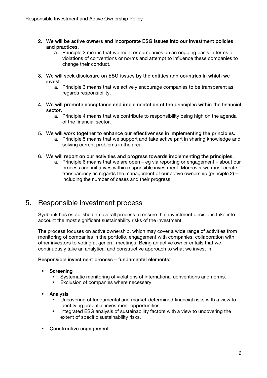- 2. We will be active owners and incorporate ESG issues into our investment policies and practices.
	- a. Principle 2 means that we monitor companies on an ongoing basis in terms of violations of conventions or norms and attempt to influence these companies to change their conduct.
- 3. We will seek disclosure on ESG issues by the entities and countries in which we invest.
	- a. Principle 3 means that we actively encourage companies to be transparent as regards responsibility.
- 4. We will promote acceptance and implementation of the principles within the financial sector.
	- a. Principle 4 means that we contribute to responsibility being high on the agenda of the financial sector.
- 5. We will work together to enhance our effectiveness in implementing the principles.
	- a. Principle 5 means that we support and take active part in sharing knowledge and solving current problems in the area.

#### 6. We will report on our activities and progress towards implementing the principles.

a. Principle 6 means that we are open – eg via reporting or engagement – about our process and initiatives within responsible investment. Moreover we must create transparency as regards the management of our active ownership (principle 2) – including the number of cases and their progress.

### 5. Responsible investment process

Sydbank has established an overall process to ensure that investment decisions take into account the most significant sustainability risks of the investment.

The process focuses on active ownership, which may cover a wide range of activities from monitoring of companies in the portfolio, engagement with companies, collaboration with other investors to voting at general meetings. Being an active owner entails that we continuously take an analytical and constructive approach to what we invest in.

#### Responsible investment process – fundamental elements:

- **Screening** 
	- Systematic monitoring of violations of international conventions and norms.
	- Exclusion of companies where necessary.
- Analysis
	- Uncovering of fundamental and market-determined financial risks with a view to identifying potential investment opportunities.
	- Integrated ESG analysis of sustainability factors with a view to uncovering the extent of specific sustainability risks.
- Constructive engagement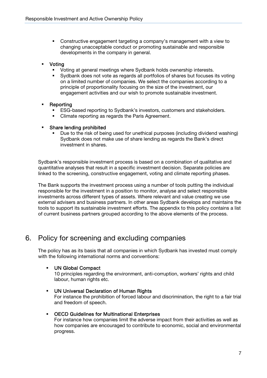- Constructive engagement targeting a company's management with a view to changing unacceptable conduct or promoting sustainable and responsible developments in the company in general.
- Voting
	- Voting at general meetings where Sydbank holds ownership interests.
	- Sydbank does not vote as regards all portfolios of shares but focuses its voting on a limited number of companies. We select the companies according to a principle of proportionality focusing on the size of the investment, our engagement activities and our wish to promote sustainable investment.
- Reporting
	- ESG-based reporting to Sydbank's investors, customers and stakeholders.
	- Climate reporting as regards the Paris Agreement.
- Share lending prohibited
	- Due to the risk of being used for unethical purposes (including dividend washing) Sydbank does not make use of share lending as regards the Bank's direct investment in shares.

Sydbank's responsible investment process is based on a combination of qualitative and quantitative analyses that result in a specific investment decision. Separate policies are linked to the screening, constructive engagement, voting and climate reporting phases.

The Bank supports the investment process using a number of tools putting the individual responsible for the investment in a position to monitor, analyse and select responsible investments across different types of assets. Where relevant and value creating we use external advisers and business partners. In other areas Sydbank develops and maintains the tools to support its sustainable investment efforts. The appendix to this policy contains a list of current business partners grouped according to the above elements of the process.

### 6. Policy for screening and excluding companies

The policy has as its basis that all companies in which Sydbank has invested must comply with the following international norms and conventions:

### UN Global Compact

10 principles regarding the environment, anti-corruption, workers' rights and child labour, human rights etc.

 UN Universal Declaration of Human Rights For instance the prohibition of forced labour and discrimination, the right to a fair trial and freedom of speech.

#### OECD Guidelines for Multinational Enterprises

For instance how companies limit the adverse impact from their activities as well as how companies are encouraged to contribute to economic, social and environmental progress.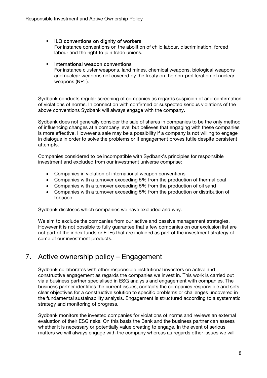#### **ILO conventions on dignity of workers**

For instance conventions on the abolition of child labour, discrimination, forced labour and the right to join trade unions.

#### International weapon conventions

For instance cluster weapons, land mines, chemical weapons, biological weapons and nuclear weapons not covered by the treaty on the non-proliferation of nuclear weapons (NPT).

Sydbank conducts regular screening of companies as regards suspicion of and confirmation of violations of norms. In connection with confirmed or suspected serious violations of the above conventions Sydbank will always engage with the company.

Sydbank does not generally consider the sale of shares in companies to be the only method of influencing changes at a company level but believes that engaging with these companies is more effective. However a sale may be a possibility if a company is not willing to engage in dialogue in order to solve the problems or if engagement proves futile despite persistent attempts.

Companies considered to be incompatible with Sydbank's principles for responsible investment and excluded from our investment universe comprise:

- Companies in violation of international weapon conventions
- Companies with a turnover exceeding 5% from the production of thermal coal
- Companies with a turnover exceeding 5% from the production of oil sand
- Companies with a turnover exceeding 5% from the production or distribution of tobacco

Sydbank discloses which companies we have excluded and why.

We aim to exclude the companies from our active and passive management strategies. However it is not possible to fully guarantee that a few companies on our exclusion list are not part of the index funds or ETFs that are included as part of the investment strategy of some of our investment products.

### 7. Active ownership policy – Engagement

Sydbank collaborates with other responsible institutional investors on active and constructive engagement as regards the companies we invest in. This work is carried out via a business partner specialised in ESG analysis and engagement with companies. The business partner identifies the current issues, contacts the companies responsible and sets clear objectives for a constructive solution to specific problems or challenges uncovered in the fundamental sustainability analysis. Engagement is structured according to a systematic strategy and monitoring of progress.

Sydbank monitors the invested companies for violations of norms and reviews an external evaluation of their ESG risks. On this basis the Bank and the business partner can assess whether it is necessary or potentially value creating to engage. In the event of serious matters we will always engage with the company whereas as regards other issues we will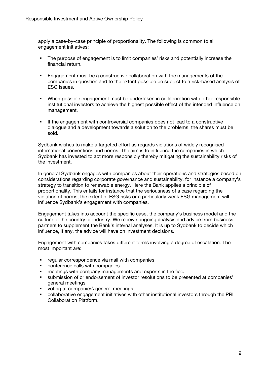apply a case-by-case principle of proportionality. The following is common to all engagement initiatives:

- The purpose of engagement is to limit companies' risks and potentially increase the financial return.
- Engagement must be a constructive collaboration with the managements of the companies in question and to the extent possible be subject to a risk-based analysis of ESG issues.
- When possible engagement must be undertaken in collaboration with other responsible institutional investors to achieve the highest possible effect of the intended influence on management.
- If the engagement with controversial companies does not lead to a constructive dialogue and a development towards a solution to the problems, the shares must be sold.

Sydbank wishes to make a targeted effort as regards violations of widely recognised international conventions and norms. The aim is to influence the companies in which Sydbank has invested to act more responsibly thereby mitigating the sustainability risks of the investment.

In general Sydbank engages with companies about their operations and strategies based on considerations regarding corporate governance and sustainability, for instance a company's strategy to transition to renewable energy. Here the Bank applies a principle of proportionality. This entails for instance that the seriousness of a case regarding the violation of norms, the extent of ESG risks or a particularly weak ESG management will influence Sydbank's engagement with companies.

Engagement takes into account the specific case, the company's business model and the culture of the country or industry. We receive ongoing analysis and advice from business partners to supplement the Bank's internal analyses. It is up to Sydbank to decide which influence, if any, the advice will have on investment decisions.

Engagement with companies takes different forms involving a degree of escalation. The most important are:

- regular correspondence via mail with companies
- conference calls with companies
- **EXP** meetings with company managements and experts in the field
- submission of or endorsement of investor resolutions to be presented at companies' general meetings
- voting at companies\ general meetings
- collaborative engagement initiatives with other institutional investors through the PRI Collaboration Platform.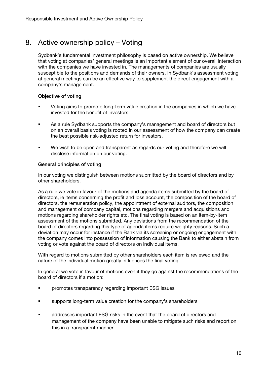### 8. Active ownership policy – Voting

Sydbank's fundamental investment philosophy is based on active ownership. We believe that voting at companies' general meetings is an important element of our overall interaction with the companies we have invested in. The managements of companies are usually susceptible to the positions and demands of their owners. In Sydbank's assessment voting at general meetings can be an effective way to supplement the direct engagement with a company's management.

### Objective of voting

- Voting aims to promote long-term value creation in the companies in which we have invested for the benefit of investors.
- As a rule Sydbank supports the company's management and board of directors but on an overall basis voting is rooted in our assessment of how the company can create the best possible risk-adjusted return for investors.
- We wish to be open and transparent as regards our voting and therefore we will disclose information on our voting.

### General principles of voting

In our voting we distinguish between motions submitted by the board of directors and by other shareholders.

As a rule we vote in favour of the motions and agenda items submitted by the board of directors, ie items concerning the profit and loss account, the composition of the board of directors, the remuneration policy, the appointment of external auditors, the composition and management of company capital, motions regarding mergers and acquisitions and motions regarding shareholder rights etc. The final voting is based on an item-by-item assessment of the motions submitted. Any deviations from the recommendation of the board of directors regarding this type of agenda items require weighty reasons. Such a deviation may occur for instance if the Bank via its screening or ongoing engagement with the company comes into possession of information causing the Bank to either abstain from voting or vote against the board of directors on individual items.

With regard to motions submitted by other shareholders each item is reviewed and the nature of the individual motion greatly influences the final voting.

In general we vote in favour of motions even if they go against the recommendations of the board of directors if a motion:

- promotes transparency regarding important ESG issues
- **supports long-term value creation for the company's shareholders**
- addresses important ESG risks in the event that the board of directors and management of the company have been unable to mitigate such risks and report on this in a transparent manner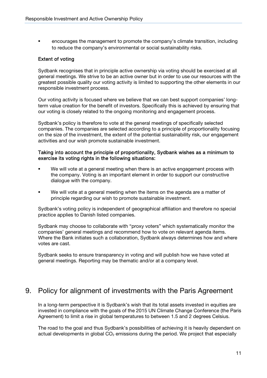encourages the management to promote the company's climate transition, including to reduce the company's environmental or social sustainability risks.

#### Extent of voting

Sydbank recognises that in principle active ownership via voting should be exercised at all general meetings. We strive to be an active owner but in order to use our resources with the greatest possible quality our voting activity is limited to supporting the other elements in our responsible investment process.

Our voting activity is focused where we believe that we can best support companies' longterm value creation for the benefit of investors. Specifically this is achieved by ensuring that our voting is closely related to the ongoing monitoring and engagement process.

Sydbank's policy is therefore to vote at the general meetings of specifically selected companies. The companies are selected according to a principle of proportionality focusing on the size of the investment, the extent of the potential sustainability risk, our engagement activities and our wish promote sustainable investment.

#### Taking into account the principle of proportionality, Sydbank wishes as a minimum to exercise its voting rights in the following situations:

- We will vote at a general meeting when there is an active engagement process with the company. Voting is an important element in order to support our constructive dialogue with the company.
- We will vote at a general meeting when the items on the agenda are a matter of principle regarding our wish to promote sustainable investment.

Sydbank's voting policy is independent of geographical affiliation and therefore no special practice applies to Danish listed companies.

Sydbank may choose to collaborate with "proxy voters" which systematically monitor the companies' general meetings and recommend how to vote on relevant agenda items. Where the Bank initiates such a collaboration, Sydbank always determines how and where votes are cast.

Sydbank seeks to ensure transparency in voting and will publish how we have voted at general meetings. Reporting may be thematic and/or at a company level.

### 9. Policy for alignment of investments with the Paris Agreement

In a long-term perspective it is Sydbank's wish that its total assets invested in equities are invested in compliance with the goals of the 2015 UN Climate Change Conference (the Paris Agreement) to limit a rise in global temperatures to between 1.5 and 2 degrees Celsius.

The road to the goal and thus Sydbank's possibilities of achieving it is heavily dependent on actual developments in global  $CO<sub>2</sub>$  emissions during the period. We project that especially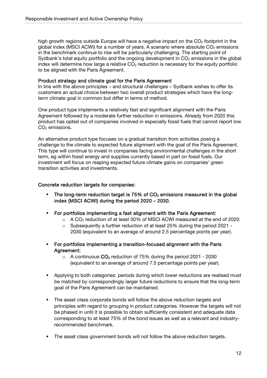high growth regions outside Europe will have a negative impact on the  $CO<sub>2</sub>$  footprint in the global index (MSCI ACWI) for a number of years. A scenario where absolute  $CO<sub>2</sub>$  emissions in the benchmark continue to rise will be particularly challenging. The starting point of Sydbank's total equity portfolio and the ongoing development in  $CO<sub>2</sub>$  emissions in the global index will determine how large a relative  $CO<sub>2</sub>$  reduction is necessary for the equity portfolio to be aligned with the Paris Agreement.

#### Product strategy and climate goal for the Paris Agreement

In line with the above principles – and structural challenges – Sydbank wishes to offer its customers an actual choice between two overall product strategies which have the longterm climate goal in common but differ in terms of method.

One product type implements a relatively fast and significant alignment with the Paris Agreement followed by a moderate further reduction in emissions. Already from 2020 this product has opted out of companies involved in especially fossil fuels that cannot report low  $CO<sub>2</sub>$  emissions.

An alternative product type focuses on a gradual transition from activities posing a challenge to the climate to expected future alignment with the goal of the Paris Agreement. This type will continue to invest in companies facing environmental challenges in the short term, eg within fossil energy and supplies currently based in part on fossil fuels. Our investment will focus on reaping expected future climate gains on companies' green transition activities and investments.

#### Concrete reduction targets for companies:

- The long-term reduction target is 75% of  $CO<sub>2</sub>$  emissions measured in the global index (MSCI ACWI) during the period 2020 – 2030.
- For portfolios implementing a fast alignment with the Paris Agreement:
	- $\circ$  A CO<sub>2</sub> reduction of at least 50% of MSCI ACWI measured at the end of 2020.
	- $\circ$  Subsequently a further reduction of at least 25% during the period 2021 -2030 (equivalent to an average of around 2.5 percentage points per year).
- For portfolios implementing a transition-focused alignment with the Paris Agreement:
	- $\circ$  A continuous  $CO<sub>2</sub>$  reduction of 75% during the period 2021 2030 (equivalent to an average of around 7.5 percentage points per year).
- **Applying to both categories: periods during which lower reductions are realised must** be matched by correspondingly larger future reductions to ensure that the long-term goal of the Paris Agreement can be maintained.
- The asset class corporate bonds will follow the above reduction targets and principles with regard to grouping in product categories. However the targets will not be phased in until it is possible to obtain sufficiently consistent and adequate data corresponding to at least 75% of the bond issues as well as a relevant and industryrecommended benchmark.
- The asset class government bonds will not follow the above reduction targets.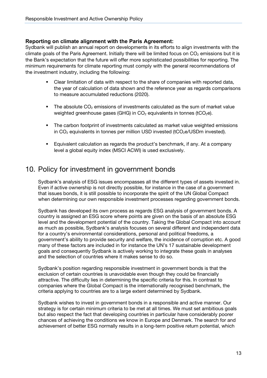### **Reporting on climate alignment with the Paris Agreement:**

Sydbank will publish an annual report on developments in its efforts to align investments with the climate goals of the Paris Agreement. Initially there will be limited focus on  $CO<sub>2</sub>$  emissions but it is the Bank's expectation that the future will offer more sophisticated possibilities for reporting. The minimum requirements for climate reporting must comply with the general recommendations of the investment industry, including the following:

- Clear limitation of data with respect to the share of companies with reported data, the year of calculation of data shown and the reference year as regards comparisons to measure accumulated reductions (2020).
- The absolute  $CO<sub>2</sub>$  emissions of investments calculated as the sum of market value weighted greenhouse gases (GHG) in  $CO<sub>2</sub>$  equivalents in tonnes (tCO<sub>2</sub>e).
- The carbon footprint of investments calculated as market value weighted emissions in  $CO<sub>2</sub>$  equivalents in tonnes per million USD invested (tCO<sub>2</sub>e/USDm invested).
- Equivalent calculation as regards the product's benchmark, if any. At a company level a global equity index (MSCI ACWI) is used exclusively.

### 10. Policy for investment in government bonds

Sydbank's analysis of ESG issues encompasses all the different types of assets invested in. Even if active ownership is not directly possible, for instance in the case of a government that issues bonds, it is still possible to incorporate the spirit of the UN Global Compact when determining our own responsible investment processes regarding government bonds.

Sydbank has developed its own process as regards ESG analysis of government bonds. A country is assigned an ESG score where points are given on the basis of an absolute ESG level and the development potential of the country. Taking the Global Compact into account as much as possible, Sydbank's analysis focuses on several different and independent data for a country's environmental considerations, personal and political freedoms, a government's ability to provide security and welfare, the incidence of corruption etc. A good many of these factors are included in for instance the UN's 17 sustainable development goals and consequently Sydbank is actively working to integrate these goals in analyses and the selection of countries where it makes sense to do so.

Sydbank's position regarding responsible investment in government bonds is that the exclusion of certain countries is unavoidable even though they could be financially attractive. The difficulty lies in determining the specific criteria for this. In contrast to companies where the Global Compact is the internationally recognised benchmark, the criteria applying to countries are to a large extent determined by Sydbank.

Sydbank wishes to invest in government bonds in a responsible and active manner. Our strategy is for certain minimum criteria to be met at all times. We must set ambitious goals but also respect the fact that developing countries in particular have considerably poorer chances of achieving the conditions we know in Europe and Denmark. The search for and achievement of better ESG normally results in a long-term positive return potential, which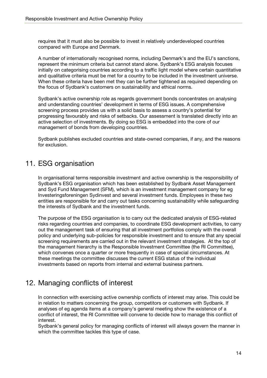requires that it must also be possible to invest in relatively underdeveloped countries compared with Europe and Denmark.

A number of internationally recognised norms, including Denmark's and the EU's sanctions, represent the minimum criteria but cannot stand alone. Sydbank's ESG analysis focuses initially on categorising countries according to a traffic light model where certain quantitative and qualitative criteria must be met for a country to be included in the investment universe. When these criteria have been met they can be further tightened as required depending on the focus of Sydbank's customers on sustainability and ethical norms.

Sydbank's active ownership role as regards government bonds concentrates on analysing and understanding countries' development in terms of ESG issues. A comprehensive screening process provides us with a solid basis to assess a country's potential for progressing favourably and risks of setbacks. Our assessment is translated directly into an active selection of investments. By doing so ESG is embedded into the core of our management of bonds from developing countries.

Sydbank publishes excluded countries and state-owned companies, if any, and the reasons for exclusion.

### 11. ESG organisation

In organisational terms responsible investment and active ownership is the responsibility of Sydbank's ESG organisation which has been established by Sydbank Asset Management and Syd Fund Management (SFM), which is an investment management company for eg Investeringsforeningen Sydinvest and several investment funds. Employees in these two entities are responsible for and carry out tasks concerning sustainability while safeguarding the interests of Sydbank and the investment funds.

The purpose of the ESG organisation is to carry out the dedicated analysis of ESG-related risks regarding countries and companies, to coordinate ESG development activities, to carry out the management task of ensuring that all investment portfolios comply with the overall policy and underlying sub-policies for responsible investment and to ensure that any special screening requirements are carried out in the relevant investment strategies. At the top of the management hierarchy is the Responsible Investment Committee (the RI Committee), which convenes once a quarter or more frequently in case of special circumstances. At these meetings the committee discusses the current ESG status of the individual investments based on reports from internal and external business partners.

### 12. Managing conflicts of interest

 In connection with exercising active ownership conflicts of interest may arise. This could be in relation to matters concerning the group, competitors or customers with Sydbank. If analyses of eg agenda items at a company's general meeting show the existence of a conflict of interest, the RI Committee will convene to decide how to manage this conflict of interest.

Sydbank's general policy for managing conflicts of interest will always govern the manner in which the committee tackles this type of case.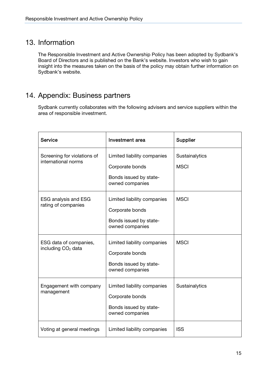### 13. Information

The Responsible Investment and Active Ownership Policy has been adopted by Sydbank's Board of Directors and is published on the Bank's website. Investors who wish to gain insight into the measures taken on the basis of the policy may obtain further information on Sydbank's website.

### 14. Appendix: Business partners

Sydbank currently collaborates with the following advisers and service suppliers within the area of responsible investment.

| <b>Service</b>                                           | <b>Investment</b> area                                                                      | Supplier                      |
|----------------------------------------------------------|---------------------------------------------------------------------------------------------|-------------------------------|
| Screening for violations of<br>international norms       | Limited liability companies<br>Corporate bonds<br>Bonds issued by state-<br>owned companies | Sustainalytics<br><b>MSCI</b> |
| <b>ESG analysis and ESG</b><br>rating of companies       | Limited liability companies<br>Corporate bonds<br>Bonds issued by state-<br>owned companies | <b>MSCI</b>                   |
| ESG data of companies,<br>including CO <sub>2</sub> data | Limited liability companies<br>Corporate bonds<br>Bonds issued by state-<br>owned companies | <b>MSCI</b>                   |
| Engagement with company<br>management                    | Limited liability companies<br>Corporate bonds<br>Bonds issued by state-<br>owned companies | Sustainalytics                |
| Voting at general meetings                               | Limited liability companies                                                                 | <b>ISS</b>                    |